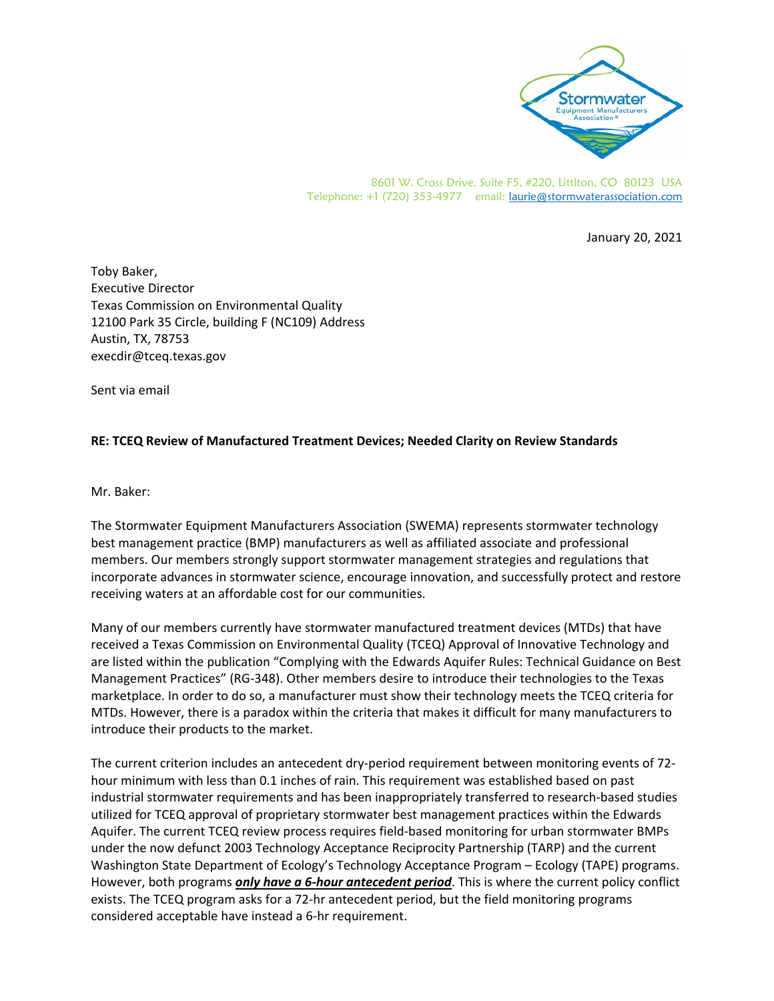

8601 W. Cross Drive, Suite F5, #220, Littlton, CO 80123 USA Telephone: +1 (720) 353-4977 email: laurie@stormwaterassociation.com

January 20, 2021

Toby Baker, Executive Director Texas Commission on Environmental Quality 12100 Park 35 Circle, building F (NC109) Address Austin, TX, 78753 execdir@tceq.texas.gov

Sent via email

## **RE: TCEQ Review of Manufactured Treatment Devices; Needed Clarity on Review Standards**

Mr. Baker:

The Stormwater Equipment Manufacturers Association (SWEMA) represents stormwater technology best management practice (BMP) manufacturers as well as affiliated associate and professional members. Our members strongly support stormwater management strategies and regulations that incorporate advances in stormwater science, encourage innovation, and successfully protect and restore receiving waters at an affordable cost for our communities.

Many of our members currently have stormwater manufactured treatment devices (MTDs) that have received a Texas Commission on Environmental Quality (TCEQ) Approval of Innovative Technology and are listed within the publication "Complying with the Edwards Aquifer Rules: Technical Guidance on Best Management Practices" (RG‐348). Other members desire to introduce their technologies to the Texas marketplace. In order to do so, a manufacturer must show their technology meets the TCEQ criteria for MTDs. However, there is a paradox within the criteria that makes it difficult for many manufacturers to introduce their products to the market.

The current criterion includes an antecedent dry-period requirement between monitoring events of 72hour minimum with less than 0.1 inches of rain. This requirement was established based on past industrial stormwater requirements and has been inappropriately transferred to research‐based studies utilized for TCEQ approval of proprietary stormwater best management practices within the Edwards Aquifer. The current TCEQ review process requires field‐based monitoring for urban stormwater BMPs under the now defunct 2003 Technology Acceptance Reciprocity Partnership (TARP) and the current Washington State Department of Ecology's Technology Acceptance Program – Ecology (TAPE) programs. However, both programs *only have a 6‐hour antecedent period*. This is where the current policy conflict exists. The TCEQ program asks for a 72-hr antecedent period, but the field monitoring programs considered acceptable have instead a 6‐hr requirement.